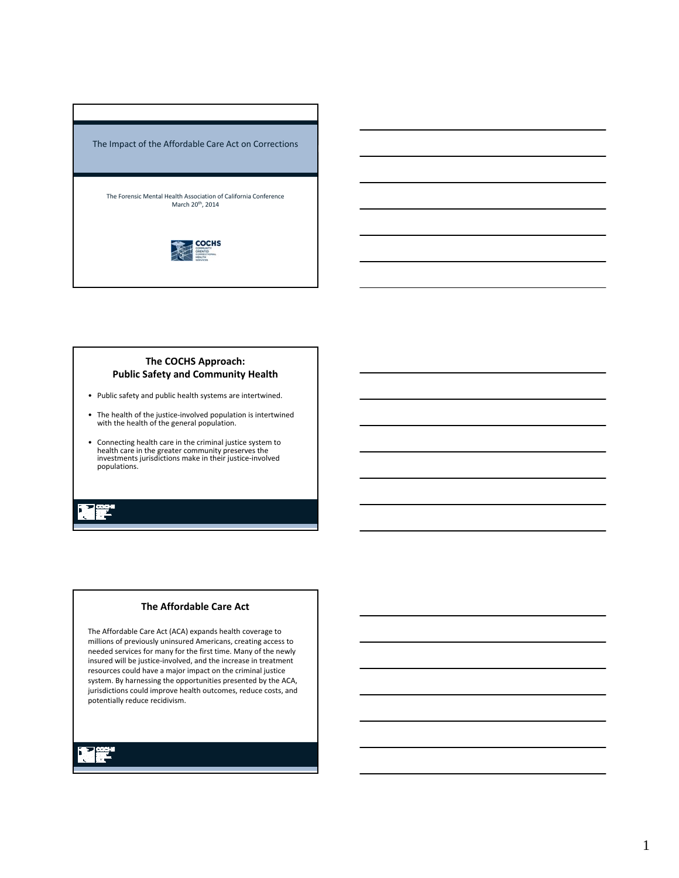

### **The COCHS Approach: Public Safety and Community Health**

- Public safety and public health systems are intertwined.
- The health of the justice‐involved population is intertwined with the health of the general population.
- Connecting health care in the criminal justice system to health care in the greater community preserves the investments jurisdictions make in their justice‐involved populations.

## **The Affordable Care Act**

The Affordable Care Act (ACA) expands health coverage to millions of previously uninsured Americans, creating access to needed services for many for the first time. Many of the newly insured will be justice‐involved, and the increase in treatment resources could have a major impact on the criminal justice system. By harnessing the opportunities presented by the ACA, jurisdictions could improve health outcomes, reduce costs, and potentially reduce recidivism.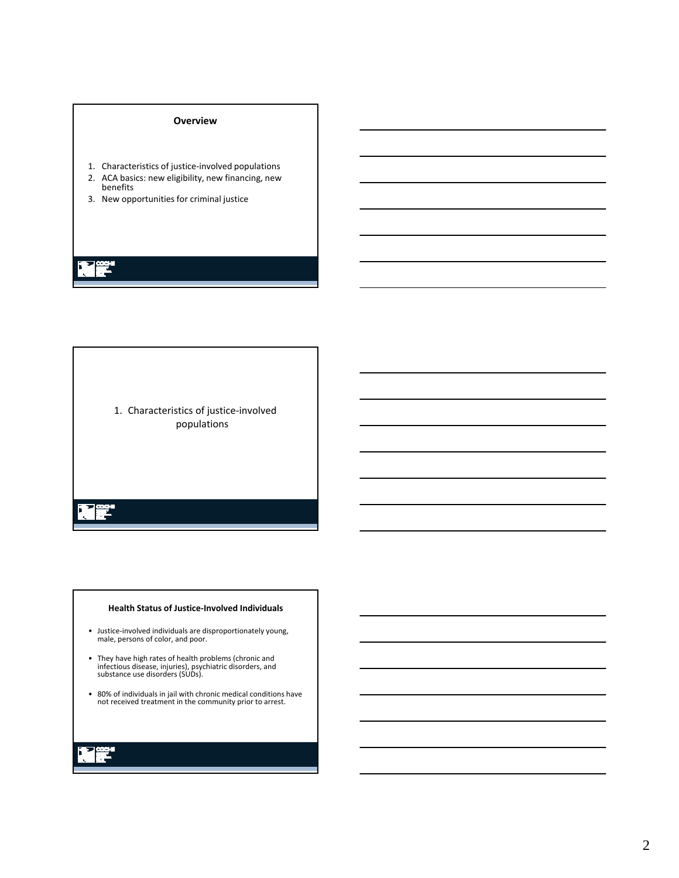### **Overview**

- 1. Characteristics of justice‐involved populations
- 2. ACA basics: new eligibility, new financing, new benefits
- 3. New opportunities for criminal justice

1. Characteristics of justice‐involved populations

### **Health Status of Justice‐Involved Individuals**

- Justice‐involved individuals are disproportionately young, male, persons of color, and poor.
- They have high rates of health problems (chronic and infectious disease, injuries), psychiatric disorders, and substance use disorders (SUDs).
- 80% of individuals in jail with chronic medical conditions have not received treatment in the community prior to arrest.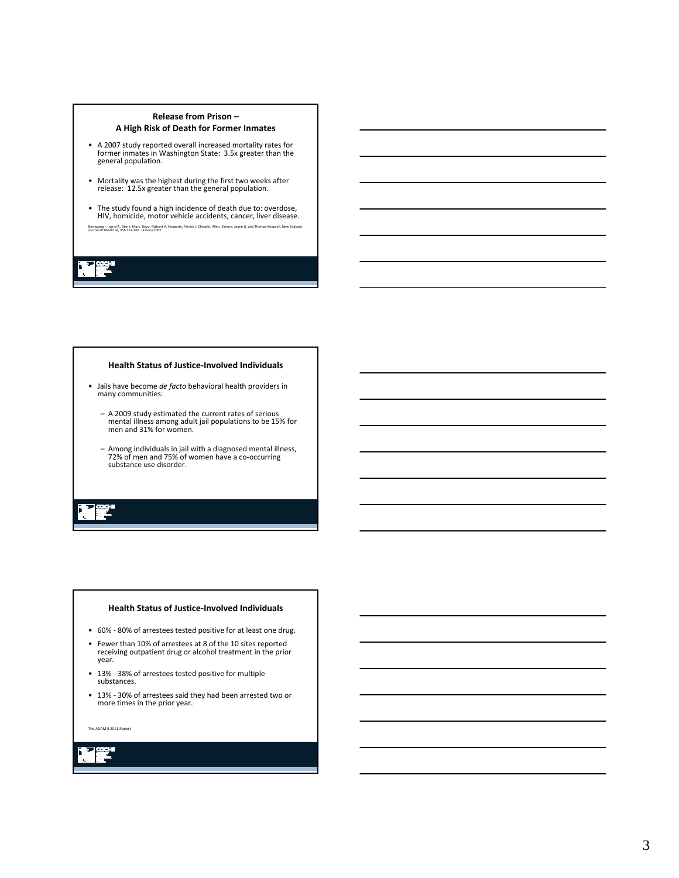### **Release from Prison – A High Risk of Death for Former Inmates**

- A 2007 study reported overall increased mortality rates for former inmates in Washington State: 3.5x greater than the general population.
- Mortality was the highest during the first two weeks after release: 12.5x greater than the general population.
- The study found a high incidence of death due to: overdose, HIV, homicide, motor vehicle accidents, cancer, liver disease. Binswanger, Ingrid A., Stern, Marc. Deyo, Riahard A. Heagerty, Patrick J. Cheadle, Allen. El<br>Journal of Medicine, 356:157-165. January 2007.

### **Health Status of Justice‐Involved Individuals**

- Jails have become *de facto* behavioral health providers in many communities:
	- A 2009 study estimated the current rates of serious mental illness among adult jail populations to be 15% for men and 31% for women.
	- Among individuals in jail with a diagnosed mental illness, 72% of men and 75% of women have a co‐occurring substance use disorder.

### **Health Status of Justice‐Involved Individuals**

- 60% ‐ 80% of arrestees tested positive for at least one drug.
- Fewer than 10% of arrestees at 8 of the 10 sites reported receiving outpatient drug or alcohol treatment in the prior year.
- 13% ‐ 38% of arrestees tested positive for multiple substances.
- 13% 30% of arrestees said they had been arrested two or more times in the prior year.

The ADAM II 2011 Report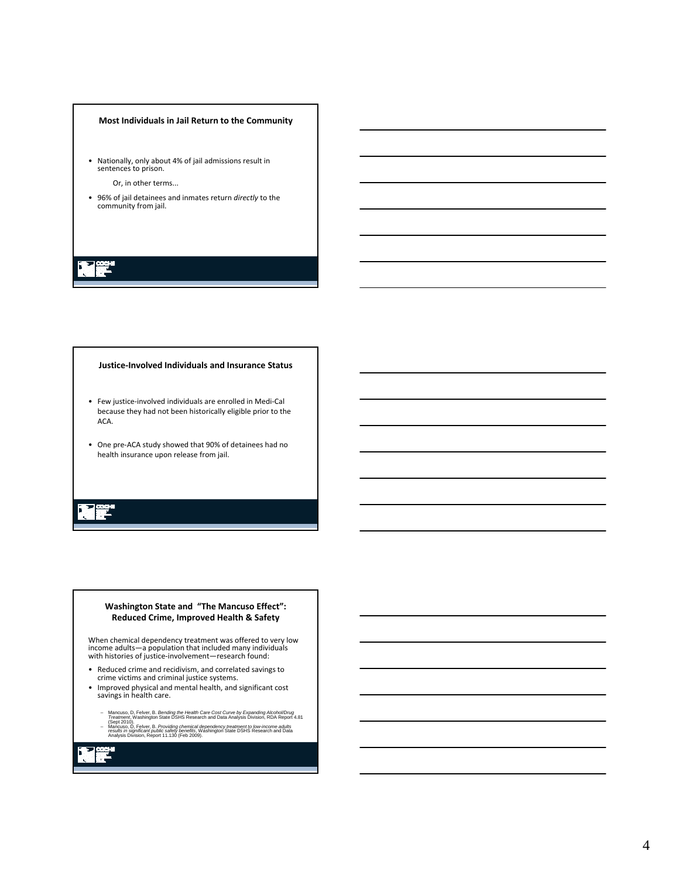### **Most Individuals in Jail Return to the Community**

• Nationally, only about 4% of jail admissions result in sentences to prison.

Or, in other terms...

• 96% of jail detainees and inmates return *directly* to the community from jail.

### **Justice‐Involved Individuals and Insurance Status**

- Few justice‐involved individuals are enrolled in Medi‐Cal because they had not been historically eligible prior to the ACA.
- One pre‐ACA study showed that 90% of detainees had no health insurance upon release from jail.

### **Washington State and "The Mancuso Effect": Reduced Crime, Improved Health & Safety**

When chemical dependency treatment was offered to very low income adults—a population that included many individuals with histories of justice‐involvement—research found:

- Reduced crime and recidivism, and correlated savings to crime victims and criminal justice systems.
- Improved physical and mental health, and significant cost savings in health care.
	- Mancuso, D. Felver, B. *Bending the Health Care Cost Curve by Expanding Alcohol/Drug*<br>*Treatment, Washington State OSHS Research and Data Analysis Division, RDA Report 4.81*<br>Mancuso, D. Felver, B. *Providing chemical depen*
	-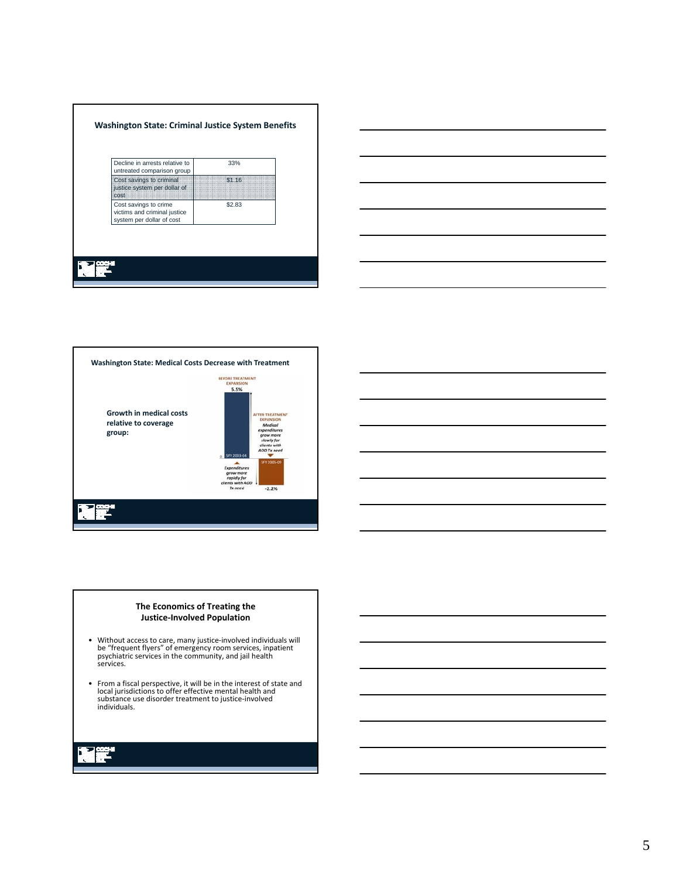| Decline in arrests relative to<br>untreated comparison group                       | 33%    |
|------------------------------------------------------------------------------------|--------|
| Cost savings to criminal<br>justice system per dollar of<br>cost                   | \$1.16 |
| Cost savings to crime<br>victims and criminal justice<br>system per dollar of cost | \$2.83 |





### **The Economics of Treating the Justice‐Involved Population**

- Without access to care, many justice‐involved individuals will be "frequent flyers" of emergency room services, inpatient psychiatric services in the community, and jail health services.
- From a fiscal perspective, it will be in the interest of state and local jurisdictions to offer effective mental health and substance use disorder treatment to justice‐involved individuals.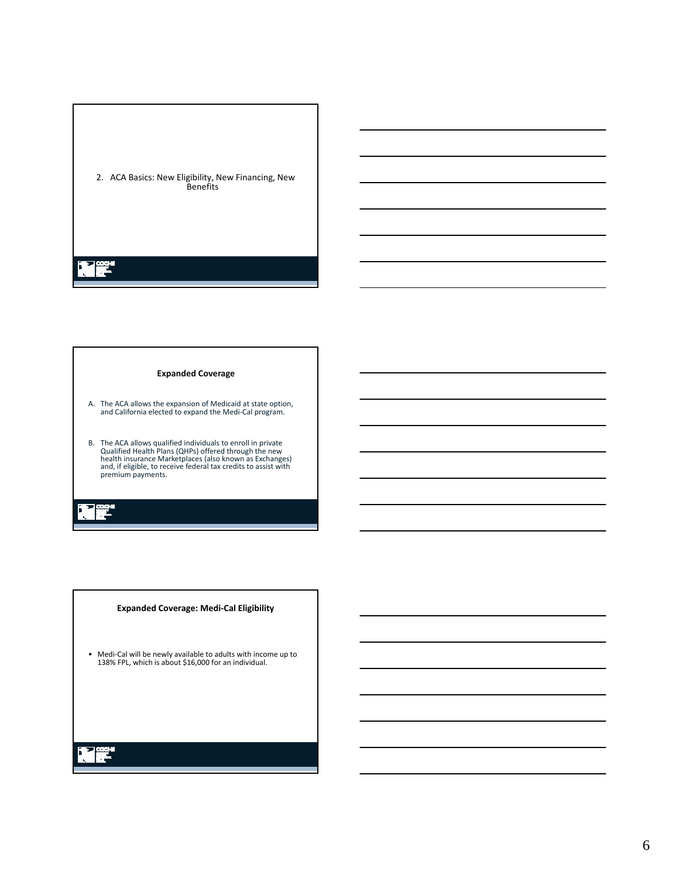

### **Expanded Coverage**

- A. The ACA allows the expansion of Medicaid at state option, and California elected to expand the Medi‐Cal program.
- B. The ACA allows qualified individuals to enroll in private<br>Qualified Health Plans (QHPs) offered through the new<br>health insurance Marketplaces (also known as Exchanges)<br>and, if eligible, to receive federal tax credits to

### **Expanded Coverage: Medi‐Cal Eligibility**

• Medi‐Cal will be newly available to adults with income up to 138% FPL, which is about \$16,000 for an individual.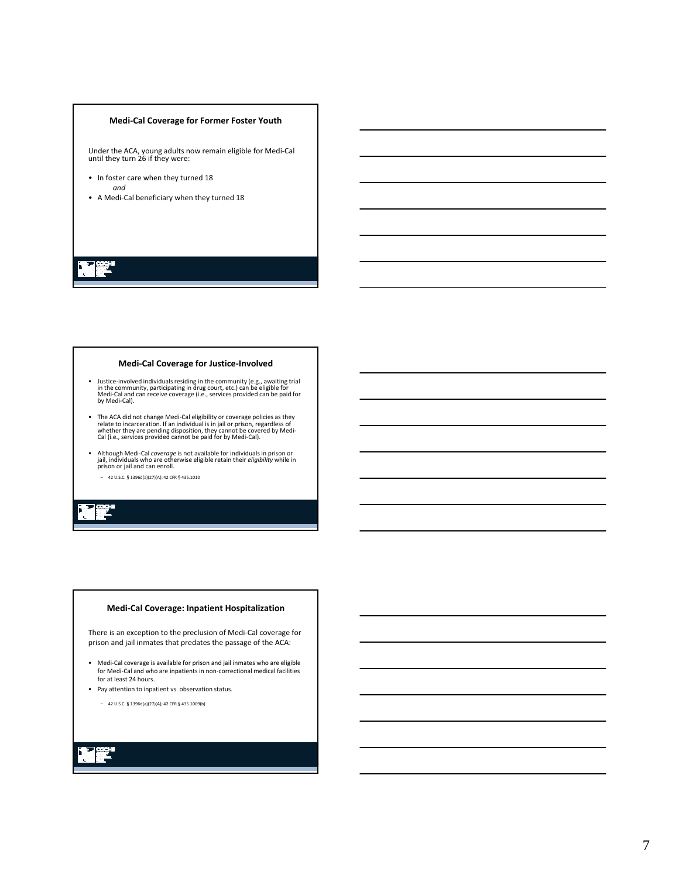### **Medi‐Cal Coverage for Former Foster Youth**

Under the ACA, young adults now remain eligible for Medi‐Cal until they turn 26 if they were:

- In foster care when they turned 18 *and*
- A Medi‐Cal beneficiary when they turned 18

### **Medi‐Cal Coverage for Justice‐Involved**

- Justice-involved individuals residing in the community (e.g., awaiting trial<br>in the community, participating in drug court, etc.) can be eligible for<br>Medi-Cal and can receive coverage (i.e., services provided can be paid
- The ACA did not change Medi-Cal eligibility or coverage policies as they relate to incarceration. If an individual is in jail or prison, regardless of whether they are pending disposition, they cannot be covered by Medi-
- Although Medi‐Cal *coverage* is not available for individuals in prison or jail, individuals who are otherwise eligible retain their *eligibility* while in prison or jail and can enroll.
	- 42 U.S.C.§1396d(a)(27)(A); 42 CFR§435.1010

### **Medi‐Cal Coverage: Inpatient Hospitalization**

There is an exception to the preclusion of Medi‐Cal coverage for prison and jail inmates that predates the passage of the ACA:

- Medi‐Cal coverage is available for prison and jail inmates who are eligible for Medi‐Cal and who are inpatients in non‐correctional medical facilities for at least 24 hours.
- Pay attention to inpatient vs. observation status.
	- 42 U.S.C.§1396d(a)(27)(A); 42 CFR§435.1009(b)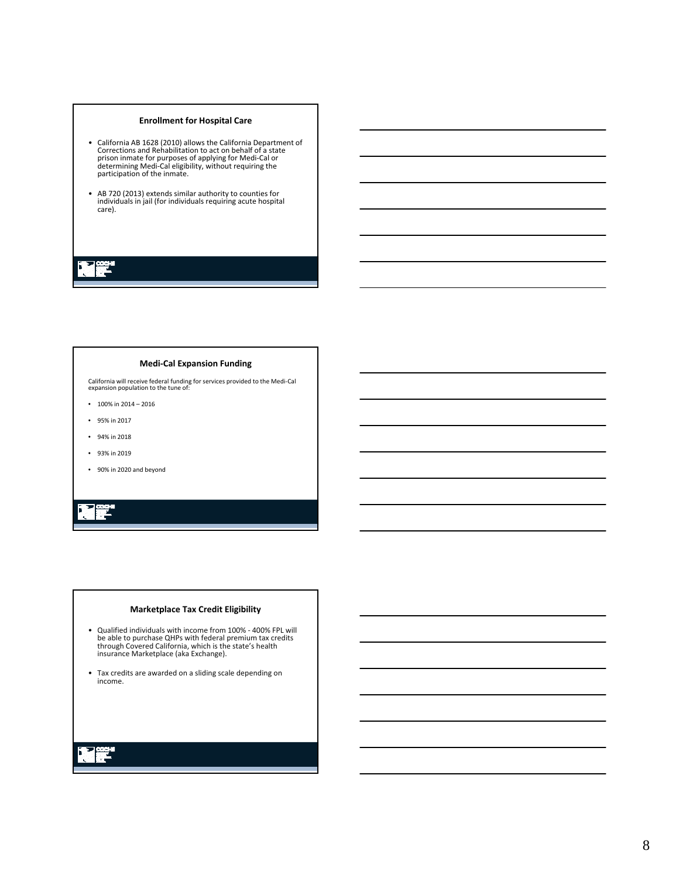### **Enrollment for Hospital Care**

- California AB 1628 (2010) allows the California Department of Corrections and Rehabilitation to act on behalf of a state prison inmate for purposes of applying for Medi-Cal or determining Medi-Cal eligibility, without r
- AB 720 (2013) extends similar authority to counties for individuals in jail (for individuals requiring acute hospital care).

### **Medi‐Cal Expansion Funding**

California will receive federal funding for services provided to the Medi‐Cal expansion population to the tune of:

- $100\%$  in  $2014 2016$
- 95% in 2017
- 94% in 2018
- 93% in 2019
- 90% in 2020 and beyond

## Ē,

### **Marketplace Tax Credit Eligibility**

- Qualified individuals with income from 100% ‐ 400% FPL will be able to purchase QHPs with federal premium tax credits through Covered California, which is the state's health insurance Marketplace (aka Exchange).
- Tax credits are awarded on <sup>a</sup> sliding scale depending on income.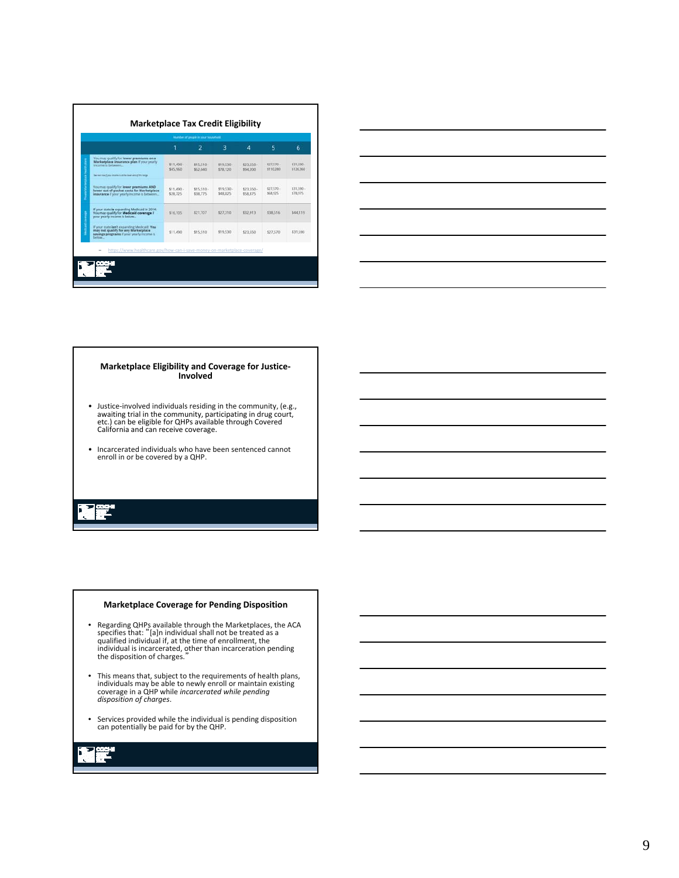|                                                                                                                                                                                         |                        | $\overline{2}$         | з                       | 4                       | 5                       |                         |
|-----------------------------------------------------------------------------------------------------------------------------------------------------------------------------------------|------------------------|------------------------|-------------------------|-------------------------|-------------------------|-------------------------|
|                                                                                                                                                                                         |                        |                        |                         |                         |                         | 6                       |
| You may qualify for lewer premiums on a<br>Marketplace insurance plan if your yearly<br>Income is between<br>Den man is own (Furtual chicagines is all this blood what all this harizon | \$11,490 -<br>\$45,960 | \$15.510 +<br>\$62,040 | $$19,530 -$<br>\$78,120 | $$23.550 +$<br>\$94,200 | \$27,570 -<br>\$110,280 | \$31,590 +<br>\$126,360 |
| You may qualify for lewer premiums AND<br>lower out-of-pocket costs for Marketplace<br>insurance if your yearly income is between                                                       | \$11,490.<br>\$28,725  | \$15,510 -<br>\$38,775 | \$19.530-<br>\$48,825   | \$23.550 -<br>\$58.875  | \$27,570.<br>\$68,925   | \$31,590 -<br>\$78,975  |
| If your state is expanding Medicald in 2014:<br>You may qualify for <b>Medicald coverage</b> if<br>your yearly income is below                                                          | \$16,105               | \$21,707               | \$27,310                | \$32,913                | \$38.516                | \$44,119                |
| If your state isn't expanding Medicald: You<br>may not qualify for any Marketplace<br>savings programs if your yearly income is<br>below.                                               | \$11,490               | \$15,510               | \$19,530                | \$23,550                | \$27,570                | \$31,590                |



# **Marketplace Eligibility and Coverage for Justice‐ Involved**

- Justice-involved individuals residing in the community, (e.g., awaiting trial in the community, atc.) can be eligible for QHPs available through Covered exact. California and can receive coverage.
- Incarcerated individuals who have been sentenced cannot enroll in or be covered by <sup>a</sup> QHP.

### **Marketplace Coverage for Pending Disposition**

- Regarding QHPs available through the Marketplaces, the ACA specifies that: "[a]n individual shall not be treated as a qualified individual if, at the time of enrollment, the individual is incarcerated, other than incarce
- This means that, subject to the requirements of health plans, individuals may be able to newly enroll or maintain existing coverage in a QHP while *incarcerated while pending disposition of charges*.
- Services provided while the individual is pending disposition can potentially be paid for by the QHP.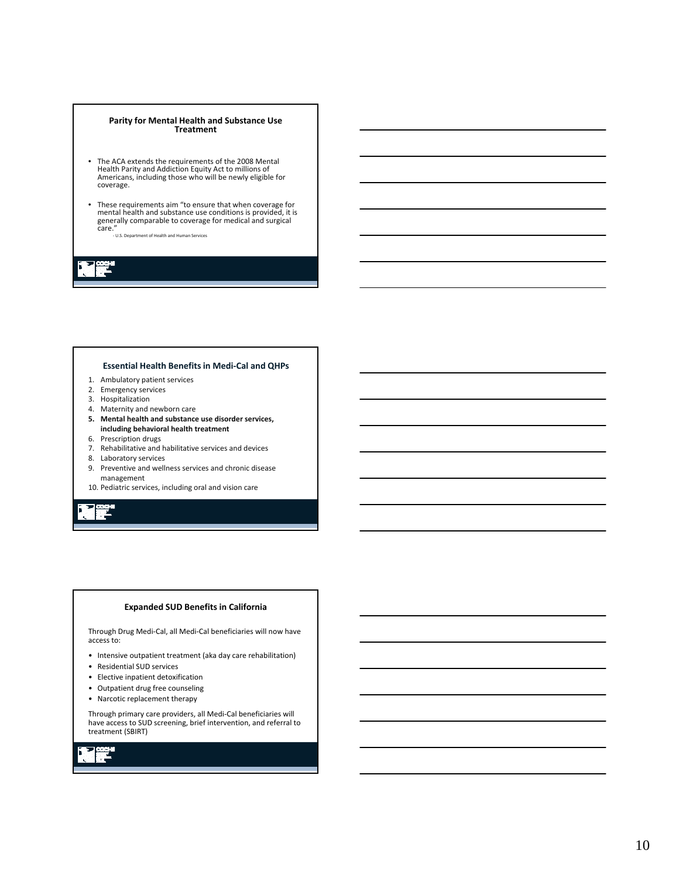### **Parity for Mental Health and Substance Use Treatment**

- The ACA extends the requirements of the 2008 Mental Health Parity and Addiction Equity Act to millions of Americans, including those who will be newly eligible for coverage.
- These requirements aim "to ensure that when coverage for mental health and substance use conditions is provided, it is generally comparable to coverage for medical and surgical care."

‐ U.S. Department of Health and Human Services

### **Essential Health Benefits in Medi‐Cal and QHPs**

- 1. Ambulatory patient services
- 2. Emergency services
- 3. Hospitalization
- 4. Maternity and newborn care
- **5. Mental health and substance use disorder services, including behavioral health treatment**
- 6. Prescription drugs
- 7. Rehabilitative and habilitative services and devices
- 
- 8. Laboratory services<br>9. Preventive and well Preventive and wellness services and chronic disease management
- 10. Pediatric services, including oral and vision care

### **Expanded SUD Benefits in California**

Through Drug Medi‐Cal, all Medi‐Cal beneficiaries will now have access to:

- Intensive outpatient treatment (aka day care rehabilitation)
- Residential SUD services
- Elective inpatient detoxification
- Outpatient drug free counseling
- Narcotic replacement therapy

Through primary care providers, all Medi‐Cal beneficiaries will have access to SUD screening, brief intervention, and referral to treatment (SBIRT)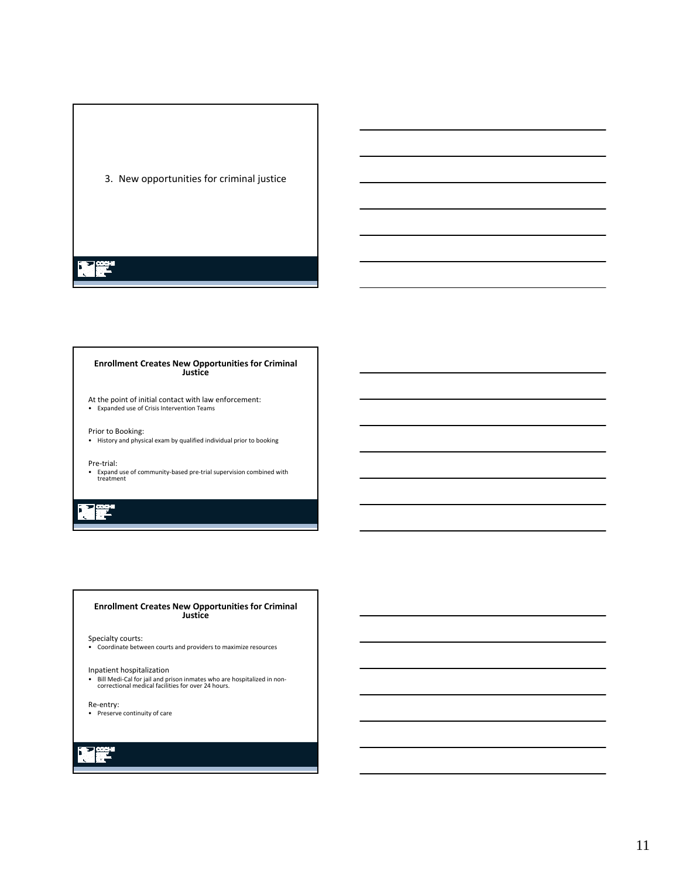

### **Enrollment Creates New Opportunities for Criminal Justice**

At the point of initial contact with law enforcement:

• Expanded use of Crisis Intervention Teams

Prior to Booking: • History and physical exam by qualified individual prior to booking

### Pre‐trial:

• Expand use of community‐based pre‐trial supervision combined with treatment

## 2

### **Enrollment Creates New Opportunities for Criminal Justice**

Specialty courts:

• Coordinate between courts and providers to maximize resources

### Inpatient hospitalization

• Bill Medi-Cal for jail and prison inmates who are hospitalized in non-<br>• Bill Medi-Cal for jail and prison inmates who are hospitalized in non-<br>correctional medical facilities for over 24 hours.

Re‐entry:

• Preserve continuity of care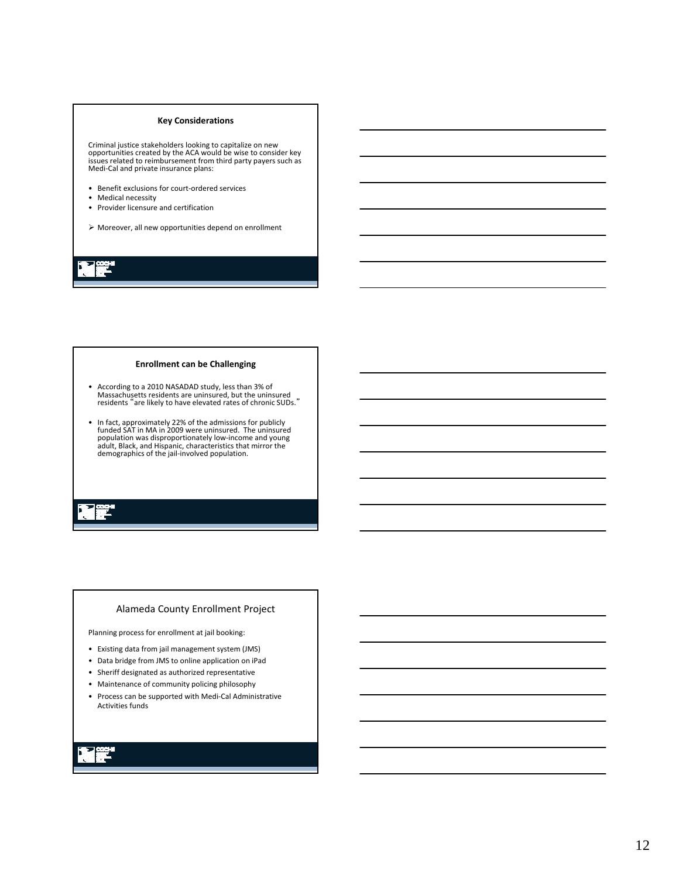### **Key Considerations**

Criminal justice stakeholders looking to capitalize on new<br>opportunities created by the ACA would be wise to consider key issues related to reimbursement from third party payers such as<br>Medi‐Cal and private insurance plans:

- Benefit exclusions for court‐ordered services
- Medical necessity
- Provider licensure and certification
- Moreover, all new opportunities depend on enrollment

### **Enrollment can be Challenging**

- According to a 2010 NASADAD study, less than 3% of Massachusetts residents are uninsured, but the uninsured residents "are likely to have elevated rates of chronic SUDs."
- In fact, approximately 22% of the admissions for publicly funded SAT in MA in 2009 were uninsured. The uninsured population was disproportionately low‐income and young adult, Black, and Hispanic, characteristics that mirror the demographics of the jail‐involved population.

### Alameda County Enrollment Project

Planning process for enrollment at jail booking:

- Existing data from jail management system (JMS)
- Data bridge from JMS to online application on iPad
- Sheriff designated as authorized representative
- Maintenance of community policing philosophy
- Process can be supported with Medi‐Cal Administrative Activities funds